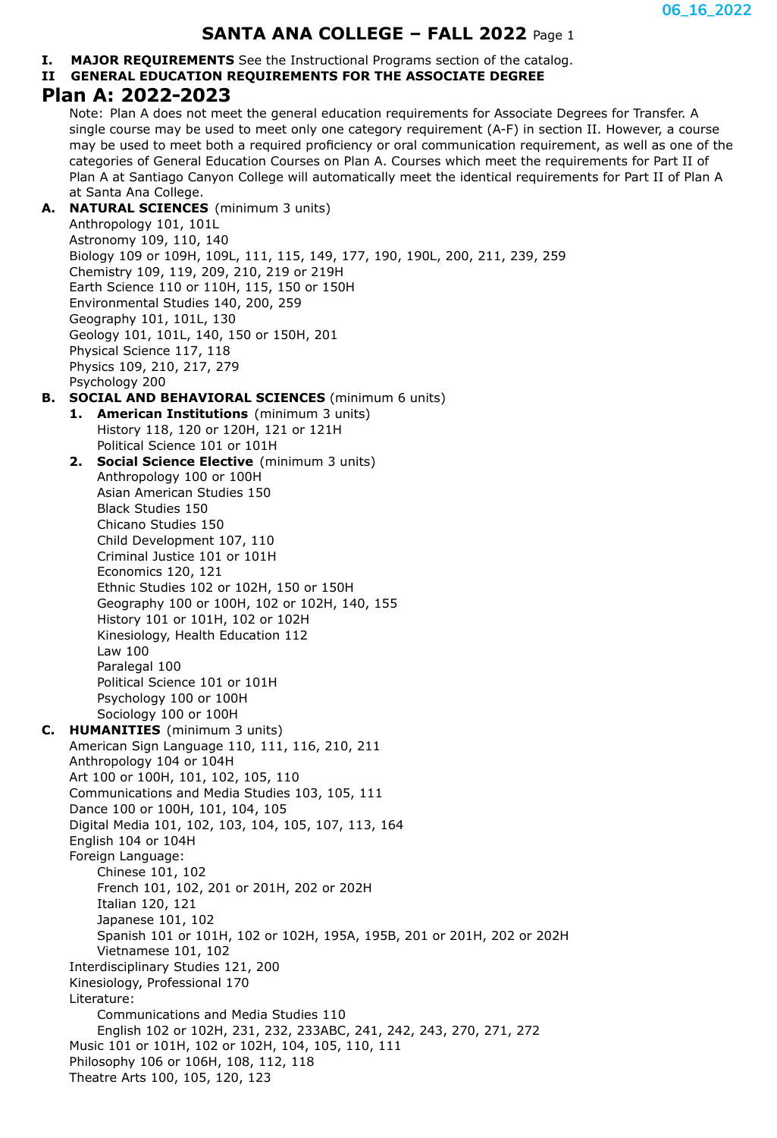# **SANTA ANA COLLEGE – FALL 2022** Page 1

**I. MAJOR REQUIREMENTS** See the Instructional Programs section of the catalog.

# **II GENERAL EDUCATION REQUIREMENTS FOR THE ASSOCIATE DEGREE**

# **Plan A: 2022-2023**

Note: Plan A does not meet the general education requirements for Associate Degrees for Transfer. A single course may be used to meet only one category requirement (A-F) in section II. However, a course may be used to meet both a required proficiency or oral communication requirement, as well as one of the categories of General Education Courses on Plan A. Courses which meet the requirements for Part II of Plan A at Santiago Canyon College will automatically meet the identical requirements for Part II of Plan A at Santa Ana College.

#### **A. NATURAL SCIENCES** (minimum 3 units)

Anthropology 101, 101L Astronomy 109, 110, 140 Biology 109 or 109H, 109L, 111, 115, 149, 177, 190, 190L, 200, 211, 239, 259 Chemistry 109, 119, 209, 210, 219 or 219H Earth Science 110 or 110H, 115, 150 or 150H Environmental Studies 140, 200, 259 Geography 101, 101L, 130 Geology 101, 101L, 140, 150 or 150H, 201 Physical Science 117, 118 Physics 109, 210, 217, 279 Psychology 200

### **B. SOCIAL AND BEHAVIORAL SCIENCES** (minimum 6 units)

- **1. American Institutions** (minimum 3 units) History 118, 120 or 120H, 121 or 121H Political Science 101 or 101H
- **2. Social Science Elective** (minimum 3 units) Anthropology 100 or 100H Asian American Studies 150 Black Studies 150 Chicano Studies 150 Child Development 107, 110 Criminal Justice 101 or 101H Economics 120, 121 Ethnic Studies 102 or 102H, 150 or 150H Geography 100 or 100H, 102 or 102H, 140, 155 History 101 or 101H, 102 or 102H Kinesiology, Health Education 112 Law 100 Paralegal 100 Political Science 101 or 101H Psychology 100 or 100H Sociology 100 or 100H
- **C. HUMANITIES** (minimum 3 units) American Sign Language 110, 111, 116, 210, 211 Anthropology 104 or 104H Art 100 or 100H, 101, 102, 105, 110 Communications and Media Studies 103, 105, 111 Dance 100 or 100H, 101, 104, 105 Digital Media 101, 102, 103, 104, 105, 107, 113, 164 English 104 or 104H Foreign Language: Chinese 101, 102 French 101, 102, 201 or 201H, 202 or 202H Italian 120, 121 Japanese 101, 102 Spanish 101 or 101H, 102 or 102H, 195A, 195B, 201 or 201H, 202 or 202H Vietnamese 101, 102 Interdisciplinary Studies 121, 200 Kinesiology, Professional 170 Literature: Communications and Media Studies 110 English 102 or 102H, 231, 232, 233ABC, 241, 242, 243, 270, 271, 272 Music 101 or 101H, 102 or 102H, 104, 105, 110, 111 Philosophy 106 or 106H, 108, 112, 118
	- Theatre Arts 100, 105, 120, 123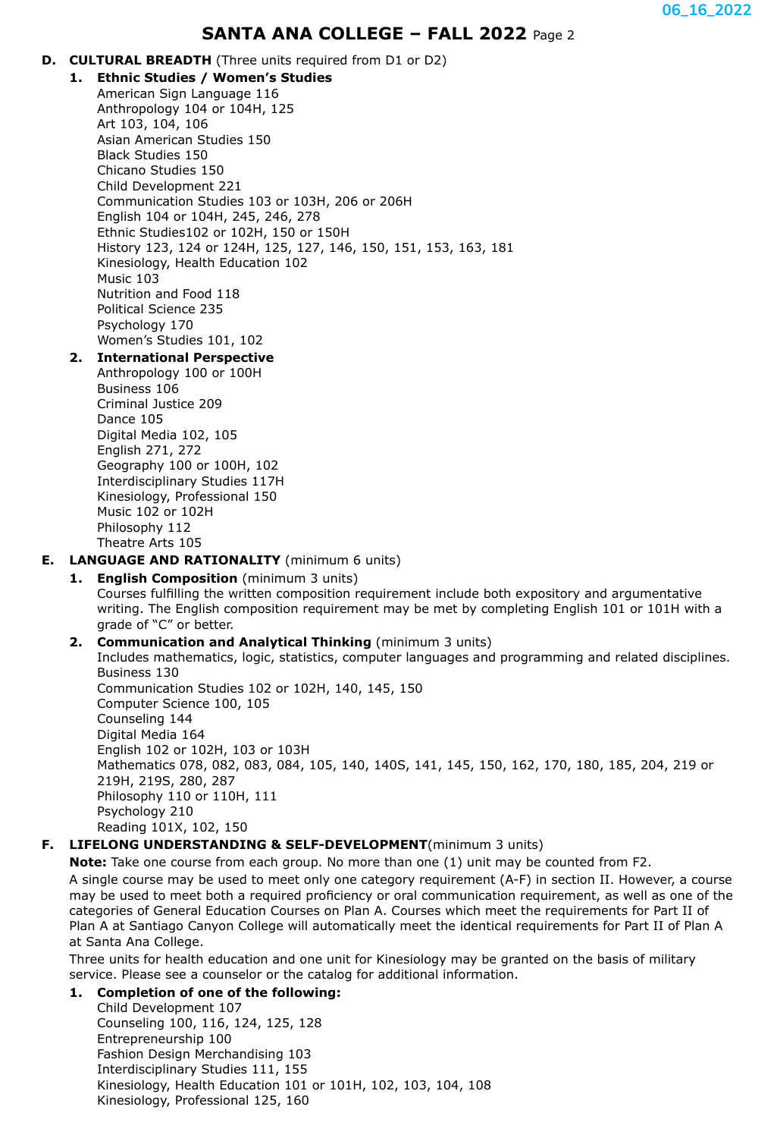# **SANTA ANA COLLEGE – FALL 2022** Page 2

- **D. CULTURAL BREADTH** (Three units required from D1 or D2)
	- **1. Ethnic Studies / Women's Studies** American Sign Language 116 Anthropology 104 or 104H, 125 Art 103, 104, 106 Asian American Studies 150 Black Studies 150 Chicano Studies 150 Child Development 221 Communication Studies 103 or 103H, 206 or 206H English 104 or 104H, 245, 246, 278 Ethnic Studies102 or 102H, 150 or 150H History 123, 124 or 124H, 125, 127, 146, 150, 151, 153, 163, 181 Kinesiology, Health Education 102 Music 103 Nutrition and Food 118 Political Science 235 Psychology 170 Women's Studies 101, 102

## **2. International Perspective**

Anthropology 100 or 100H Business 106 Criminal Justice 209 Dance 105 Digital Media 102, 105 English 271, 272 Geography 100 or 100H, 102 Interdisciplinary Studies 117H Kinesiology, Professional 150 Music 102 or 102H Philosophy 112 Theatre Arts 105

- **E. LANGUAGE AND RATIONALITY** (minimum 6 units)
	- **1. English Composition** (minimum 3 units) Courses fulfilling the written composition requirement include both expository and argumentative writing. The English composition requirement may be met by completing English 101 or 101H with a grade of "C" or better.

#### **2. Communication and Analytical Thinking** (minimum 3 units)

Includes mathematics, logic, statistics, computer languages and programming and related disciplines. Business 130 Communication Studies 102 or 102H, 140, 145, 150 Computer Science 100, 105 Counseling 144 Digital Media 164 English 102 or 102H, 103 or 103H Mathematics 078, 082, 083, 084, 105, 140, 140S, 141, 145, 150, 162, 170, 180, 185, 204, 219 or 219H, 219S, 280, 287 Philosophy 110 or 110H, 111 Psychology 210 Reading 101X, 102, 150

### **F. LIFELONG UNDERSTANDING & SELF-DEVELOPMENT**(minimum 3 units)

**Note:** Take one course from each group. No more than one (1) unit may be counted from F2.

A single course may be used to meet only one category requirement (A-F) in section II. However, a course may be used to meet both a required proficiency or oral communication requirement, as well as one of the categories of General Education Courses on Plan A. Courses which meet the requirements for Part II of Plan A at Santiago Canyon College will automatically meet the identical requirements for Part II of Plan A at Santa Ana College.

Three units for health education and one unit for Kinesiology may be granted on the basis of military service. Please see a counselor or the catalog for additional information.

### **1. Completion of one of the following:**

Child Development 107 Counseling 100, 116, 124, 125, 128 Entrepreneurship 100 Fashion Design Merchandising 103 Interdisciplinary Studies 111, 155 Kinesiology, Health Education 101 or 101H, 102, 103, 104, 108 Kinesiology, Professional 125, 160